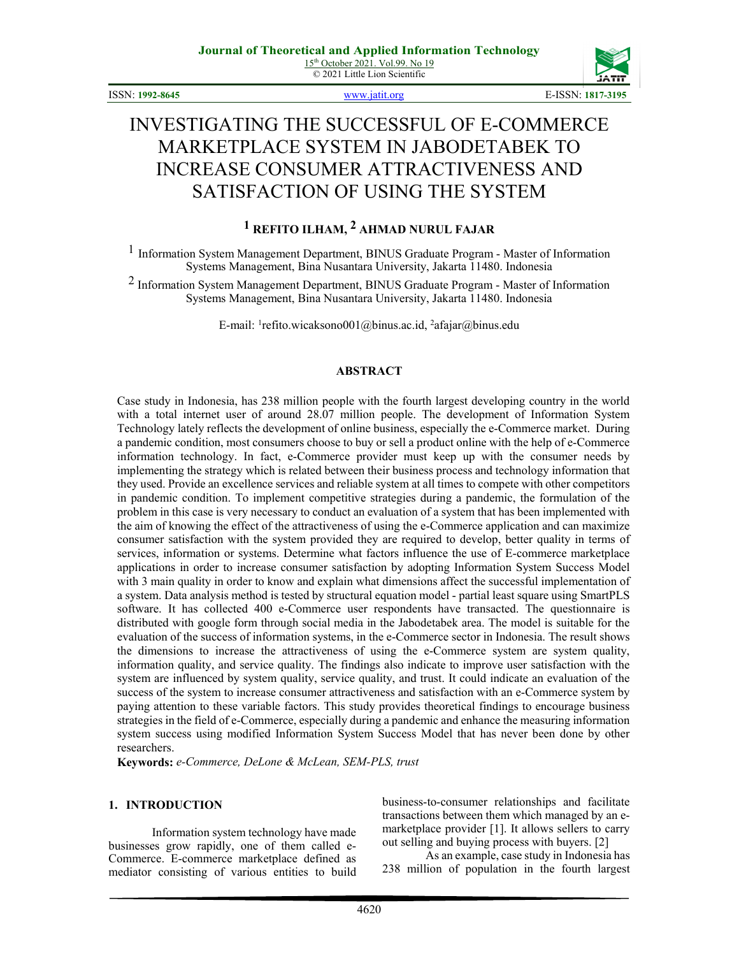© 2021 Little Lion Scientific



ISSN: **1992-8645** [www.jatit.org](http://www.jatit.org/) E-ISSN: **1817-3195**

# INVESTIGATING THE SUCCESSFUL OF E-COMMERCE MARKETPLACE SYSTEM IN JABODETABEK TO INCREASE CONSUMER ATTRACTIVENESS AND SATISFACTION OF USING THE SYSTEM

# **1 REFITO ILHAM, 2 AHMAD NURUL FAJAR**

1 Information System Management Department, BINUS Graduate Program - Master of Information Systems Management, Bina Nusantara University, Jakarta 11480. Indonesia

2 Information System Management Department, BINUS Graduate Program - Master of Information Systems Management, Bina Nusantara University, Jakarta 11480. Indonesia

E-mail: <sup>1</sup>refito.wicaksono001@binus.ac.id, <sup>2</sup>afajar@binus.edu

#### **ABSTRACT**

Case study in Indonesia, has 238 million people with the fourth largest developing country in the world with a total internet user of around 28.07 million people. The development of Information System Technology lately reflects the development of online business, especially the e-Commerce market. During a pandemic condition, most consumers choose to buy or sell a product online with the help of e-Commerce information technology. In fact, e-Commerce provider must keep up with the consumer needs by implementing the strategy which is related between their business process and technology information that they used. Provide an excellence services and reliable system at all times to compete with other competitors in pandemic condition. To implement competitive strategies during a pandemic, the formulation of the problem in this case is very necessary to conduct an evaluation of a system that has been implemented with the aim of knowing the effect of the attractiveness of using the e-Commerce application and can maximize consumer satisfaction with the system provided they are required to develop, better quality in terms of services, information or systems. Determine what factors influence the use of E-commerce marketplace applications in order to increase consumer satisfaction by adopting Information System Success Model with 3 main quality in order to know and explain what dimensions affect the successful implementation of a system. Data analysis method is tested by structural equation model - partial least square using SmartPLS software. It has collected 400 e-Commerce user respondents have transacted. The questionnaire is distributed with google form through social media in the Jabodetabek area. The model is suitable for the evaluation of the success of information systems, in the e-Commerce sector in Indonesia. The result shows the dimensions to increase the attractiveness of using the e-Commerce system are system quality, information quality, and service quality. The findings also indicate to improve user satisfaction with the system are influenced by system quality, service quality, and trust. It could indicate an evaluation of the success of the system to increase consumer attractiveness and satisfaction with an e-Commerce system by paying attention to these variable factors. This study provides theoretical findings to encourage business strategies in the field of e-Commerce, especially during a pandemic and enhance the measuring information system success using modified Information System Success Model that has never been done by other researchers.

**Keywords:** *e-Commerce, DeLone & McLean, SEM-PLS, trust*

#### **1. INTRODUCTION**

Information system technology have made businesses grow rapidly, one of them called e-Commerce. E-commerce marketplace defined as mediator consisting of various entities to build business-to-consumer relationships and facilitate transactions between them which managed by an emarketplace provider [1]. It allows sellers to carry out selling and buying process with buyers. [2]

As an example, case study in Indonesia has 238 million of population in the fourth largest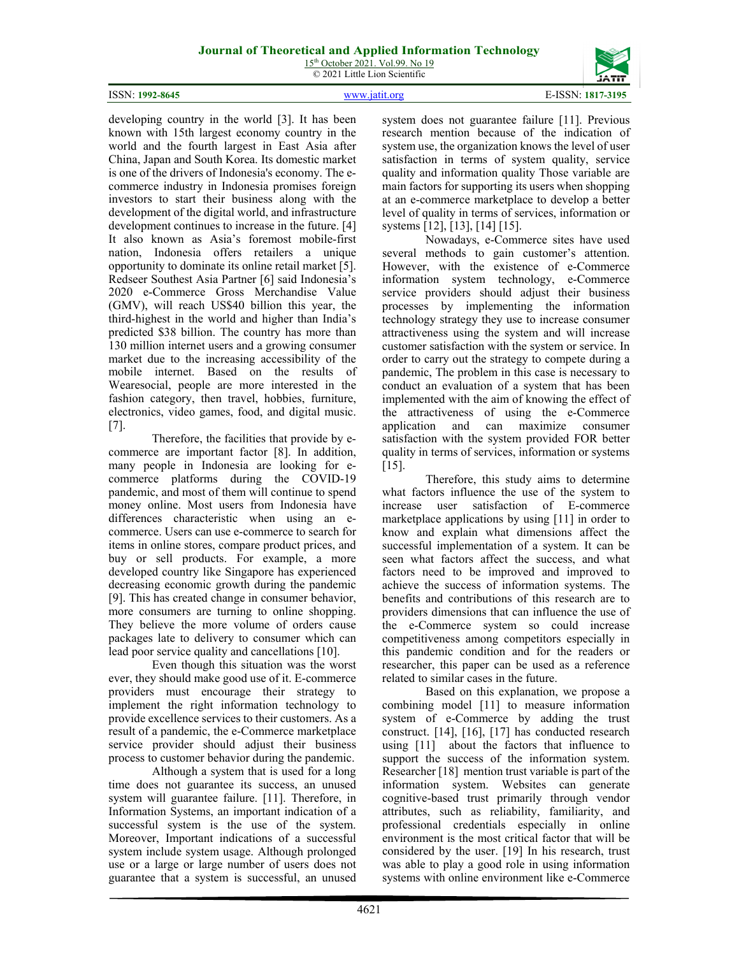15<sup>th</sup> October 2021. Vol.99. No 19 © 2021 Little Lion Scientific



developing country in the world [3]. It has been known with 15th largest economy country in the world and the fourth largest in East Asia after China, Japan and South Korea. Its domestic market is one of the drivers of Indonesia's economy. The ecommerce industry in Indonesia promises foreign investors to start their business along with the development of the digital world, and infrastructure development continues to increase in the future. [4] It also known as Asia's foremost mobile-first nation, Indonesia offers retailers a unique opportunity to dominate its online retail market [5]. Redseer Southest Asia Partner [6] said Indonesia's 2020 e-Commerce Gross Merchandise Value (GMV), will reach US\$40 billion this year, the third-highest in the world and higher than India's predicted \$38 billion. The country has more than 130 million internet users and a growing consumer market due to the increasing accessibility of the mobile internet. Based on the results of Wearesocial, people are more interested in the fashion category, then travel, hobbies, furniture, electronics, video games, food, and digital music. [7].

Therefore, the facilities that provide by ecommerce are important factor [8]. In addition, many people in Indonesia are looking for ecommerce platforms during the COVID-19 pandemic, and most of them will continue to spend money online. Most users from Indonesia have differences characteristic when using an ecommerce. Users can use e-commerce to search for items in online stores, compare product prices, and buy or sell products. For example, a more developed country like Singapore has experienced decreasing economic growth during the pandemic [9]. This has created change in consumer behavior, more consumers are turning to online shopping. They believe the more volume of orders cause packages late to delivery to consumer which can lead poor service quality and cancellations [10].

Even though this situation was the worst ever, they should make good use of it. E-commerce providers must encourage their strategy to implement the right information technology to provide excellence services to their customers. As a result of a pandemic, the e-Commerce marketplace service provider should adjust their business process to customer behavior during the pandemic.

Although a system that is used for a long time does not guarantee its success, an unused system will guarantee failure. [11]. Therefore, in Information Systems, an important indication of a successful system is the use of the system. Moreover, Important indications of a successful system include system usage. Although prolonged use or a large or large number of users does not guarantee that a system is successful, an unused system does not guarantee failure [11]. Previous research mention because of the indication of system use, the organization knows the level of user satisfaction in terms of system quality, service quality and information quality Those variable are main factors for supporting its users when shopping at an e-commerce marketplace to develop a better level of quality in terms of services, information or systems [12], [13], [14] [15].

Nowadays, e-Commerce sites have used several methods to gain customer's attention. However, with the existence of e-Commerce information system technology, e-Commerce service providers should adjust their business processes by implementing the information technology strategy they use to increase consumer attractiveness using the system and will increase customer satisfaction with the system or service. In order to carry out the strategy to compete during a pandemic, The problem in this case is necessary to conduct an evaluation of a system that has been implemented with the aim of knowing the effect of the attractiveness of using the e-Commerce application and can maximize consumer satisfaction with the system provided FOR better quality in terms of services, information or systems [15].

Therefore, this study aims to determine what factors influence the use of the system to increase user satisfaction of E-commerce marketplace applications by using [11] in order to know and explain what dimensions affect the successful implementation of a system. It can be seen what factors affect the success, and what factors need to be improved and improved to achieve the success of information systems. The benefits and contributions of this research are to providers dimensions that can influence the use of the e-Commerce system so could increase competitiveness among competitors especially in this pandemic condition and for the readers or researcher, this paper can be used as a reference related to similar cases in the future.

Based on this explanation, we propose a combining model [11] to measure information system of e-Commerce by adding the trust construct. [14], [16], [17] has conducted research using [11] about the factors that influence to support the success of the information system. Researcher [18] mention trust variable is part of the information system. Websites can generate cognitive-based trust primarily through vendor attributes, such as reliability, familiarity, and professional credentials especially in online environment is the most critical factor that will be considered by the user. [19] In his research, trust was able to play a good role in using information systems with online environment like e-Commerce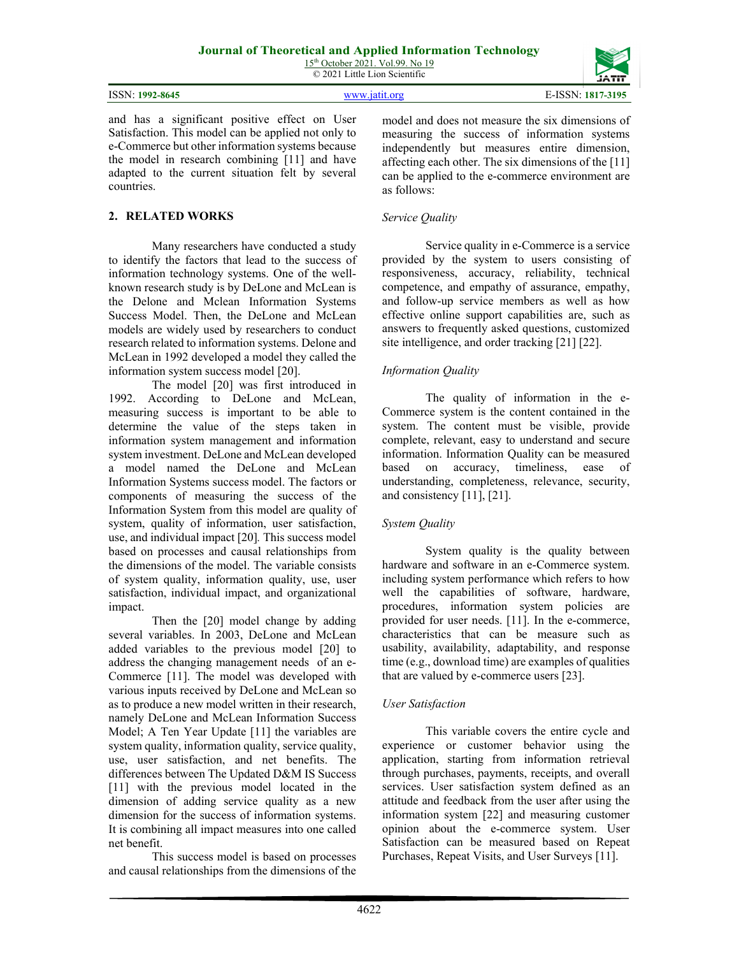15<sup>th</sup> October 2021. Vol.99. No 19 © 2021 Little Lion Scientific

| ISSN:<br>1992-8645 | www.19th | 5-ISSN:<br>1817-3195 |
|--------------------|----------|----------------------|
|                    |          |                      |

and has a significant positive effect on User Satisfaction. This model can be applied not only to e-Commerce but other information systems because the model in research combining [11] and have adapted to the current situation felt by several countries.

## **2. RELATED WORKS**

Many researchers have conducted a study to identify the factors that lead to the success of information technology systems. One of the wellknown research study is by DeLone and McLean is the Delone and Mclean Information Systems Success Model. Then, the DeLone and McLean models are widely used by researchers to conduct research related to information systems. Delone and McLean in 1992 developed a model they called the information system success model [20].

The model [20] was first introduced in 1992. According to DeLone and McLean, measuring success is important to be able to determine the value of the steps taken in information system management and information system investment. DeLone and McLean developed a model named the DeLone and McLean Information Systems success model. The factors or components of measuring the success of the Information System from this model are quality of system, quality of information, user satisfaction, use, and individual impact [20]*.* This success model based on processes and causal relationships from the dimensions of the model. The variable consists of system quality, information quality, use, user satisfaction, individual impact, and organizational impact.

Then the [20] model change by adding several variables. In 2003, DeLone and McLean added variables to the previous model [20] to address the changing management needs of an e-Commerce [11]. The model was developed with various inputs received by DeLone and McLean so as to produce a new model written in their research, namely DeLone and McLean Information Success Model; A Ten Year Update [11] the variables are system quality, information quality, service quality, use, user satisfaction, and net benefits. The differences between The Updated D&M IS Success [11] with the previous model located in the dimension of adding service quality as a new dimension for the success of information systems. It is combining all impact measures into one called net benefit.

This success model is based on processes and causal relationships from the dimensions of the model and does not measure the six dimensions of measuring the success of information systems independently but measures entire dimension, affecting each other. The six dimensions of the [11] can be applied to the e-commerce environment are as follows:

#### *Service Quality*

Service quality in e-Commerce is a service provided by the system to users consisting of responsiveness, accuracy, reliability, technical competence, and empathy of assurance, empathy, and follow-up service members as well as how effective online support capabilities are, such as answers to frequently asked questions, customized site intelligence, and order tracking [21] [22].

## *Information Quality*

The quality of information in the e-Commerce system is the content contained in the system. The content must be visible, provide complete, relevant, easy to understand and secure information. Information Quality can be measured based on accuracy, timeliness, ease of understanding, completeness, relevance, security, and consistency [11], [21].

## *System Quality*

System quality is the quality between hardware and software in an e-Commerce system. including system performance which refers to how well the capabilities of software, hardware, procedures, information system policies are provided for user needs. [11]. In the e-commerce, characteristics that can be measure such as usability, availability, adaptability, and response time (e.g., download time) are examples of qualities that are valued by e-commerce users [23].

#### *User Satisfaction*

This variable covers the entire cycle and experience or customer behavior using the application, starting from information retrieval through purchases, payments, receipts, and overall services. User satisfaction system defined as an attitude and feedback from the user after using the information system [22] and measuring customer opinion about the e-commerce system. User Satisfaction can be measured based on Repeat Purchases, Repeat Visits, and User Surveys [11].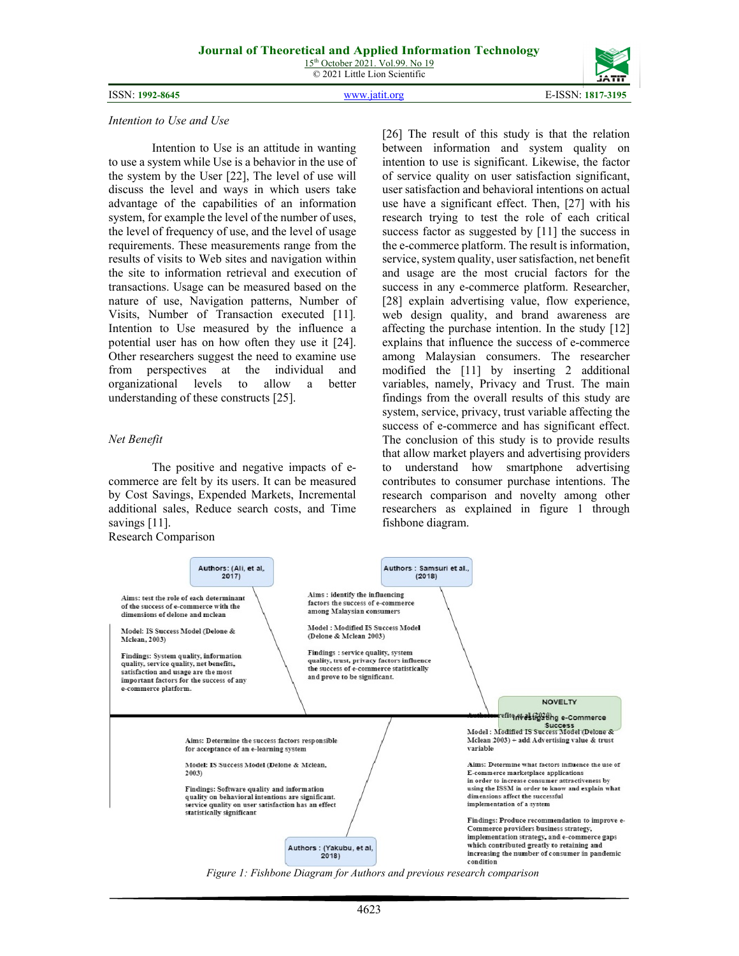ISSN: **1992-8645** [www.jatit.org](http://www.jatit.org/) E-ISSN: **1817-3195**



#### *Intention to Use and Use*

Intention to Use is an attitude in wanting to use a system while Use is a behavior in the use of the system by the User [22], The level of use will discuss the level and ways in which users take advantage of the capabilities of an information system, for example the level of the number of uses, the level of frequency of use, and the level of usage requirements. These measurements range from the results of visits to Web sites and navigation within the site to information retrieval and execution of transactions. Usage can be measured based on the nature of use, Navigation patterns, Number of Visits, Number of Transaction executed [11]*.* Intention to Use measured by the influence a potential user has on how often they use it [24]. Other researchers suggest the need to examine use from perspectives at the individual and organizational levels to allow a better understanding of these constructs [25].

#### *Net Benefit*

The positive and negative impacts of ecommerce are felt by its users. It can be measured by Cost Savings, Expended Markets, Incremental additional sales, Reduce search costs, and Time savings [11]. Research Comparison

[26] The result of this study is that the relation between information and system quality on intention to use is significant. Likewise, the factor of service quality on user satisfaction significant, user satisfaction and behavioral intentions on actual use have a significant effect. Then, [27] with his research trying to test the role of each critical success factor as suggested by [11] the success in the e-commerce platform. The result is information, service, system quality, user satisfaction, net benefit and usage are the most crucial factors for the success in any e-commerce platform. Researcher, [28] explain advertising value, flow experience, web design quality, and brand awareness are affecting the purchase intention. In the study [12] explains that influence the success of e-commerce among Malaysian consumers. The researcher modified the [11] by inserting 2 additional variables, namely, Privacy and Trust. The main findings from the overall results of this study are system, service, privacy, trust variable affecting the success of e-commerce and has significant effect. The conclusion of this study is to provide results that allow market players and advertising providers to understand how smartphone advertising contributes to consumer purchase intentions. The research comparison and novelty among other researchers as explained in figure 1 through fishbone diagram.



*Figure 1: Fishbone Diagram for Authors and previous research comparison*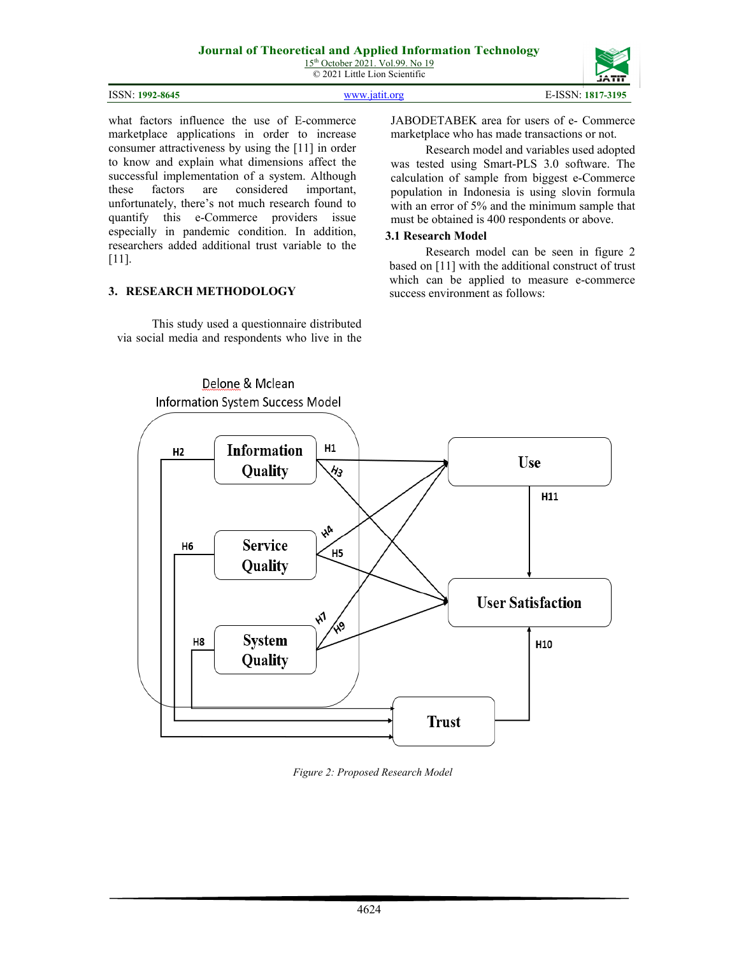15<sup>th</sup> October 2021. Vol.99. No 19 © 2021 Little Lion Scientific

| ISSN: 1992-8645 | www 1911 oro | ±-ISSN: *<br>1817-3195 |
|-----------------|--------------|------------------------|

what factors influence the use of E-commerce marketplace applications in order to increase consumer attractiveness by using the [11] in order to know and explain what dimensions affect the successful implementation of a system. Although these factors are considered important, unfortunately, there's not much research found to quantify this e-Commerce providers issue especially in pandemic condition. In addition, researchers added additional trust variable to the [11].

#### **3. RESEARCH METHODOLOGY**

This study used a questionnaire distributed via social media and respondents who live in the

JABODETABEK area for users of e- Commerce marketplace who has made transactions or not.

Research model and variables used adopted was tested using Smart-PLS 3.0 software. The calculation of sample from biggest e-Commerce population in Indonesia is using slovin formula with an error of 5% and the minimum sample that must be obtained is 400 respondents or above.

#### **3.1 Research Model**

Research model can be seen in figure 2 based on [11] with the additional construct of trust which can be applied to measure e-commerce success environment as follows:



*Figure 2: Proposed Research Model*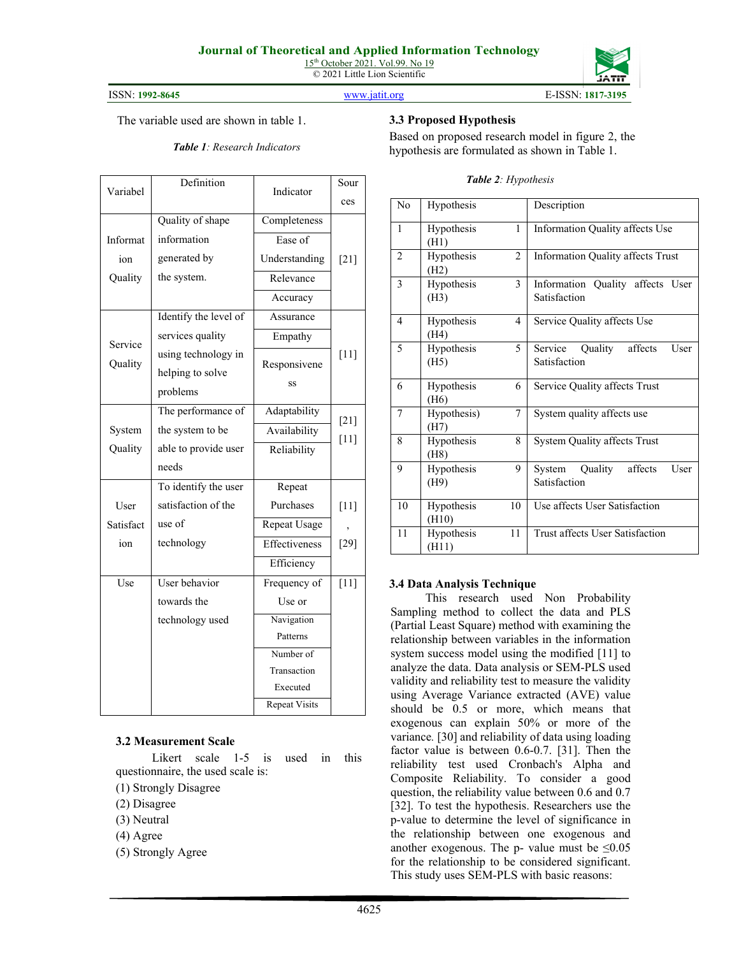

#### ISSN: **1992-8645** [www.jatit.org](http://www.jatit.org/) E-ISSN: **1817-3195**

The variable used are shown in table 1.

# *Table 1: Research Indicators*

| Definition<br>Variabel |                       | Indicator            | Sour   |
|------------------------|-----------------------|----------------------|--------|
|                        |                       |                      | ces    |
|                        | Quality of shape      | Completeness         |        |
| Informat               | information           | Ease of              |        |
| ion                    | generated by          | Understanding        | $[21]$ |
| Quality                | the system.           | Relevance            |        |
|                        |                       | Accuracy             |        |
|                        | Identify the level of | Assurance            |        |
| Service                | services quality      | Empathy              |        |
| Quality                | using technology in   | Responsivene         | $[11]$ |
|                        | helping to solve      |                      |        |
|                        | problems              | SS                   |        |
|                        | The performance of    | Adaptability         | $[21]$ |
| System                 | the system to be      | Availability         | $[11]$ |
| Quality                | able to provide user  | Reliability          |        |
|                        | needs                 |                      |        |
|                        | To identify the user  | Repeat               |        |
| User                   | satisfaction of the   | Purchases            | $[11]$ |
| Satisfact              | use of                | Repeat Usage         |        |
| ion                    | technology            | Effectiveness        | $[29]$ |
|                        |                       | Efficiency           |        |
| Use                    | User behavior         | Frequency of         | $[11]$ |
|                        | towards the           | Use or               |        |
|                        | technology used       | Navigation           |        |
|                        |                       | Patterns             |        |
|                        |                       | Number of            |        |
|                        |                       | Transaction          |        |
|                        |                       | Executed             |        |
|                        |                       | <b>Repeat Visits</b> |        |

#### **3.2 Measurement Scale**

Likert scale 1-5 is used in this questionnaire, the used scale is:

- (1) Strongly Disagree
- (2) Disagree
- (3) Neutral
- (4) Agree
- (5) Strongly Agree

# **3.3 Proposed Hypothesis**

Based on proposed research model in figure 2, the hypothesis are formulated as shown in Table 1.

| No             | Hypothesis          |                | Description                                        |
|----------------|---------------------|----------------|----------------------------------------------------|
| $\mathbf{1}$   | Hypothesis<br>(H1)  | $\mathbf{1}$   | Information Quality affects Use                    |
| $\overline{2}$ | Hypothesis<br>(H2)  | $\overline{c}$ | Information Quality affects Trust                  |
| 3              | Hypothesis<br>(H3)  | 3              | Information Quality affects User<br>Satisfaction   |
| $\overline{4}$ | Hypothesis<br>(H4)  | $\overline{4}$ | Service Quality affects Use                        |
| 5              | Hypothesis<br>(H5)  | 5              | Service Quality<br>affects<br>User<br>Satisfaction |
| 6              | Hypothesis<br>(H6)  | 6              | Service Quality affects Trust                      |
| 7              | Hypothesis)<br>(H7) | 7              | System quality affects use                         |
| 8              | Hypothesis<br>(H8)  | 8              | <b>System Quality affects Trust</b>                |
| 9              | Hypothesis<br>(H9)  | 9              | System Quality<br>affects<br>User<br>Satisfaction  |
| 10             | Hypothesis<br>(H10) | 10             | Use affects User Satisfaction                      |
| 11             | Hypothesis<br>(H11) | 11             | Trust affects User Satisfaction                    |

#### **3.4 Data Analysis Technique**

This research used Non Probability Sampling method to collect the data and PLS (Partial Least Square) method with examining the relationship between variables in the information system success model using the modified [11] to analyze the data. Data analysis or SEM-PLS used validity and reliability test to measure the validity using Average Variance extracted (AVE) value should be 0.5 or more, which means that exogenous can explain 50% or more of the variance*.* [30] and reliability of data using loading factor value is between 0.6-0.7. [31]. Then the reliability test used Cronbach's Alpha and Composite Reliability. To consider a good question, the reliability value between 0.6 and 0.7 [32]. To test the hypothesis. Researchers use the p-value to determine the level of significance in the relationship between one exogenous and another exogenous. The p- value must be  $\leq 0.05$ for the relationship to be considered significant. This study uses SEM-PLS with basic reasons: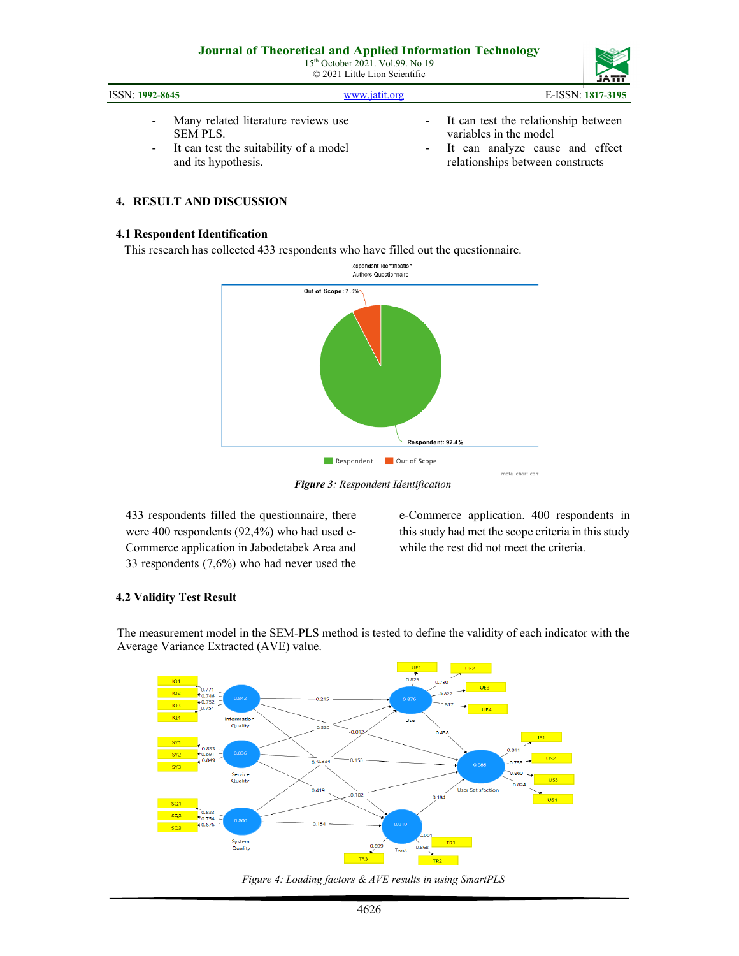|                 | <u>Journal of Theoretical and Teppince Information Technology</u><br>15 <sup>th</sup> October 2021. Vol.99. No 19<br>$\odot$ 2021 Little Lion Scientific |                                      | <b>JATIT</b>      |
|-----------------|----------------------------------------------------------------------------------------------------------------------------------------------------------|--------------------------------------|-------------------|
| ISSN: 1992-8645 | www.jatit.org                                                                                                                                            |                                      | E-ISSN: 1817-3195 |
|                 | Many related literature reviews use                                                                                                                      | It can test the relationship between |                   |

- Many related literature reviews use SEM PLS.
- It can test the suitability of a model and its hypothesis.
- It can test the relationship between variables in the model
- It can analyze cause and effect relationships between constructs

# **4. RESULT AND DISCUSSION**

#### **4.1 Respondent Identification**

This research has collected 433 respondents who have filled out the questionnaire.



*Figure 3: Respondent Identification*

433 respondents filled the questionnaire, there were 400 respondents (92,4%) who had used e-Commerce application in Jabodetabek Area and 33 respondents (7,6%) who had never used the e-Commerce application. 400 respondents in this study had met the scope criteria in this study while the rest did not meet the criteria.

## **4.2 Validity Test Result**

The measurement model in the SEM-PLS method is tested to define the validity of each indicator with the Average Variance Extracted (AVE) value.



*Figure 4: Loading factors & AVE results in using SmartPLS*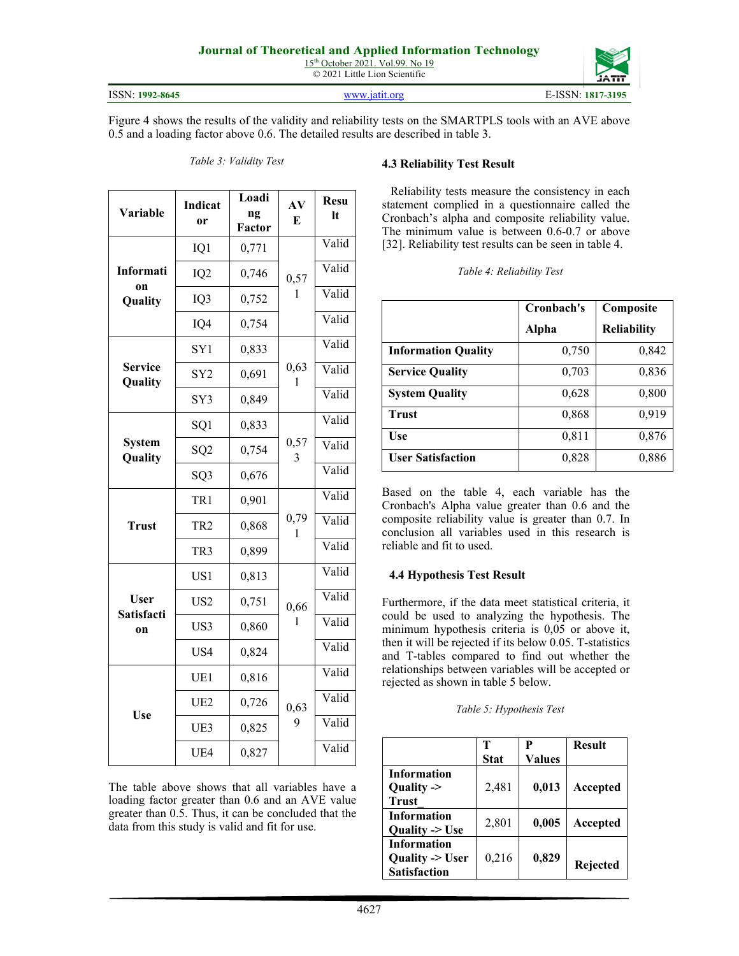© 2021 Little Lion Scientific

ISSN: **1992-8645** [www.jatit.org](http://www.jatit.org/) E-ISSN: **1817-3195**

Figure 4 shows the results of the validity and reliability tests on the SMARTPLS tools with an AVE above 0.5 and a loading factor above 0.6. The detailed results are described in table 3.

| Variable                  | <b>Indicat</b><br><sub>or</sub> | Loadi<br>ng<br>Factor | AV<br>E   | <b>Resu</b><br>It |
|---------------------------|---------------------------------|-----------------------|-----------|-------------------|
|                           | IQ1                             | 0,771                 |           | Valid             |
| Informati                 | IQ <sub>2</sub>                 | 0,746                 | 0,57      | Valid             |
| on<br>Quality             | IQ3                             | 0,752                 | L         | Valid             |
|                           | IQ4                             | 0,754                 |           | Valid             |
|                           | SY <sub>1</sub>                 | 0,833                 |           | Valid             |
| <b>Service</b><br>Quality | SY <sub>2</sub>                 | 0,691                 | 0,63<br>1 | Valid             |
|                           | SY3                             | 0,849                 |           | Valid             |
|                           | SQ1                             | 0,833                 |           | Valid             |
| <b>System</b><br>Quality  | SQ <sub>2</sub>                 | 0,754                 | 0,57<br>3 | Valid             |
|                           | SQ3                             | 0,676                 |           | Valid             |
| <b>Trust</b>              | TR1                             | 0,901                 |           | Valid             |
|                           | TR <sub>2</sub>                 | 0,868                 | 0,79<br>1 | Valid             |
|                           | TR <sub>3</sub>                 | 0,899                 |           | Valid             |
|                           | US1                             | 0,813                 |           | Valid             |
| User<br><b>Satisfacti</b> | US <sub>2</sub>                 | 0,751                 | 0,66      | Valid             |
| on                        | US3                             | 0,860                 | 1         | Valid             |
|                           | US4                             | 0,824                 |           | Valid             |
|                           | UE1                             | 0,816                 |           | Valid             |
|                           | UE <sub>2</sub>                 | 0,726                 | 0,63      | Valid             |
| Use                       | UE3                             | 0,825                 | 9         | Valid             |
|                           | UE4                             | 0,827                 |           | Valid             |

*Table 3: Validity Test*

#### *Table 4: Reliability Test*

Reliability tests measure the consistency in each statement complied in a questionnaire called the Cronbach's alpha and composite reliability value. The minimum value is between 0.6-0.7 or above [32]. Reliability test results can be seen in table 4.

**4.3 Reliability Test Result**

|                            | Cronbach's<br>Alpha | Composite<br><b>Reliability</b> |
|----------------------------|---------------------|---------------------------------|
| <b>Information Quality</b> | 0,750               | 0,842                           |
| <b>Service Quality</b>     | 0,703               | 0,836                           |
| <b>System Quality</b>      | 0,628               | 0,800                           |
| <b>Trust</b>               | 0,868               | 0,919                           |
| Use                        | 0,811               | 0,876                           |
| <b>User Satisfaction</b>   | 0,828               | 0,886                           |

Based on the table 4, each variable has the Cronbach's Alpha value greater than 0.6 and the composite reliability value is greater than 0.7. In conclusion all variables used in this research is reliable and fit to used.

#### **4.4 Hypothesis Test Result**

Furthermore, if the data meet statistical criteria, it could be used to analyzing the hypothesis. The minimum hypothesis criteria is 0,05 or above it, then it will be rejected if its below 0.05. T-statistics and T-tables compared to find out whether the relationships between variables will be accepted or rejected as shown in table 5 below.

|                       |             | P             | <b>Result</b> |
|-----------------------|-------------|---------------|---------------|
|                       | <b>Stat</b> | <b>Values</b> |               |
| <b>Information</b>    |             |               |               |
| Quality $\rightarrow$ | 2,481       | 0,013         | Accepted      |
| <b>Trust</b>          |             |               |               |
| <b>Information</b>    | 2,801       | 0,005         |               |
| Ouality $\geq$ Use    |             |               | Accepted      |
| <b>Information</b>    |             |               |               |
| Quality -> User       | 0,216       | 0,829         |               |
| <b>Satisfaction</b>   |             |               | Rejected      |

The table above shows that all variables have a loading factor greater than 0.6 and an AVE value greater than 0.5. Thus, it can be concluded that the data from this study is valid and fit for use.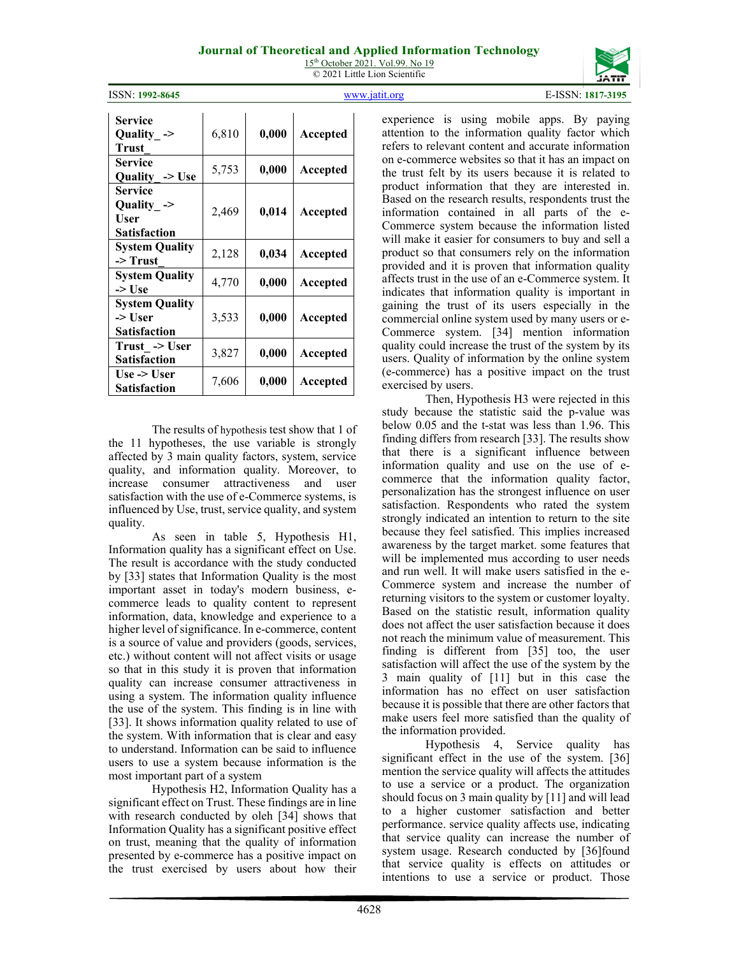ISSN: **1992-8645** [www.jatit.org](http://www.jatit.org/) E-ISSN: **1817-3195**

that there is a significant influence between information quality and use on the use of ecommerce that the information quality factor, personalization has the strongest influence on user satisfaction. Respondents who rated the system strongly indicated an intention to return to the site because they feel satisfied. This implies increased awareness by the target market. some features that will be implemented mus according to user needs and run well. It will make users satisfied in the e-Commerce system and increase the number of returning visitors to the system or customer loyalty. Based on the statistic result, information quality does not affect the user satisfaction because it does not reach the minimum value of measurement. This finding is different from [35] too, the user satisfaction will affect the use of the system by the 3 main quality of [11] but in this case the information has no effect on user satisfaction because it is possible that there are other factors that make users feel more satisfied than the quality of

Hypothesis 4, Service quality has significant effect in the use of the system. [36] mention the service quality will affects the attitudes to use a service or a product. The organization should focus on 3 main quality by [11] and will lead to a higher customer satisfaction and better performance. service quality affects use, indicating that service quality can increase the number of system usage. Research conducted by [36]found that service quality is effects on attitudes or intentions to use a service or product. Those

| Service                   |       |       |          |
|---------------------------|-------|-------|----------|
| Quality $\rightarrow$     | 6,810 | 0,000 | Accepted |
| Trust                     |       |       |          |
| Service                   |       | 0,000 |          |
| Quality $\rightarrow$ Use | 5,753 |       | Accepted |
| <b>Service</b>            |       |       |          |
| Quality $\rightarrow$     |       |       |          |
| User                      | 2,469 | 0,014 | Accepted |
| <b>Satisfaction</b>       |       |       |          |
| <b>System Quality</b>     |       |       |          |
| -> Trust                  | 2,128 | 0,034 | Accepted |
| <b>System Quality</b>     |       |       |          |
| -> Use                    | 4,770 | 0,000 | Accepted |
| <b>System Quality</b>     |       |       |          |
| -> User                   | 3,533 | 0,000 | Accepted |
| <b>Satisfaction</b>       |       |       |          |
| Trust -> User             |       |       |          |
| <b>Satisfaction</b>       | 3,827 | 0,000 | Accepted |
| Use $\rightarrow$ User    |       |       |          |
| Satisfaction              | 7,606 | 0.000 | Accepted |

The results of hypothesis test show that 1 of the 11 hypotheses, the use variable is strongly affected by 3 main quality factors, system, service quality, and information quality. Moreover, to increase consumer attractiveness and user satisfaction with the use of e-Commerce systems, is influenced by Use, trust, service quality, and system quality.

As seen in table 5, Hypothesis H1, Information quality has a significant effect on Use. The result is accordance with the study conducted by [33] states that Information Quality is the most important asset in today's modern business, ecommerce leads to quality content to represent information, data, knowledge and experience to a higher level of significance. In e-commerce, content is a source of value and providers (goods, services, etc.) without content will not affect visits or usage so that in this study it is proven that information quality can increase consumer attractiveness in using a system. The information quality influence the use of the system. This finding is in line with [33]. It shows information quality related to use of the system. With information that is clear and easy to understand. Information can be said to influence users to use a system because information is the most important part of a system

Hypothesis H2, Information Quality has a significant effect on Trust. These findings are in line with research conducted by oleh [34] shows that Information Quality has a significant positive effect on trust, meaning that the quality of information presented by e-commerce has a positive impact on the trust exercised by users about how their product so that consumers rely on the information provided and it is proven that information quality affects trust in the use of an e-Commerce system. It indicates that information quality is important in gaining the trust of its users especially in the commercial online system used by many users or e-Commerce system. [34] mention information quality could increase the trust of the system by its users. Quality of information by the online system (e-commerce) has a positive impact on the trust exercised by users. Then, Hypothesis H3 were rejected in this study because the statistic said the p-value was

experience is using mobile apps. By paying attention to the information quality factor which refers to relevant content and accurate information on e-commerce websites so that it has an impact on the trust felt by its users because it is related to product information that they are interested in. Based on the research results, respondents trust the information contained in all parts of the e-Commerce system because the information listed will make it easier for consumers to buy and sell a

below 0.05 and the t-stat was less than 1.96. This finding differs from research [33]. The results show the information provided.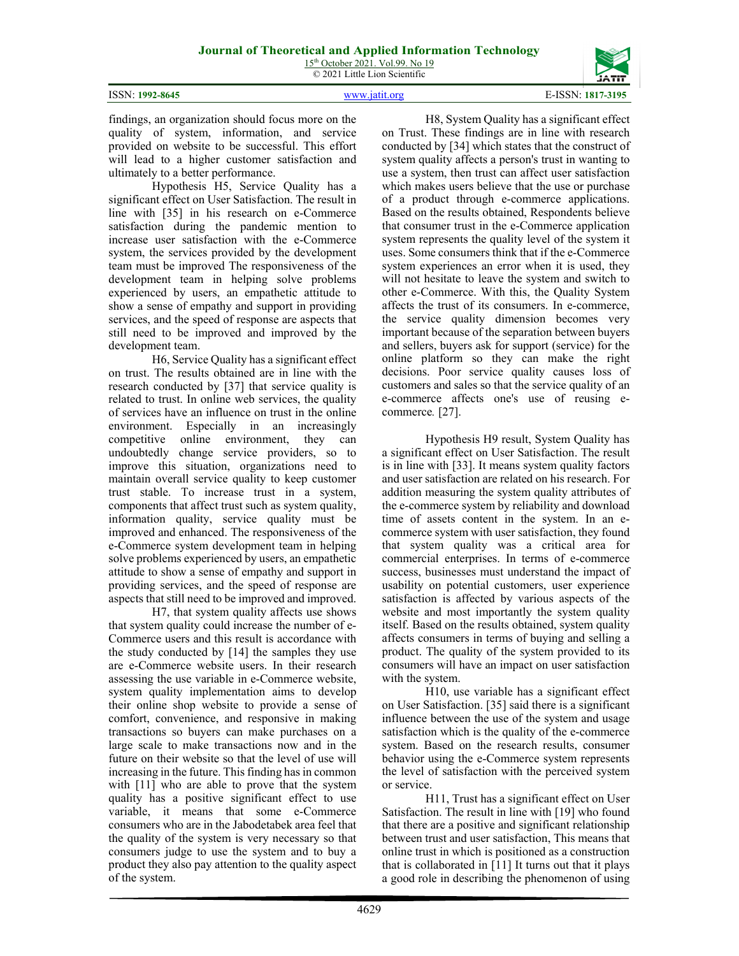

findings, an organization should focus more on the quality of system, information, and service provided on website to be successful. This effort will lead to a higher customer satisfaction and ultimately to a better performance.

Hypothesis H5, Service Quality has a significant effect on User Satisfaction. The result in line with [35] in his research on e-Commerce satisfaction during the pandemic mention to increase user satisfaction with the e-Commerce system, the services provided by the development team must be improved The responsiveness of the development team in helping solve problems experienced by users, an empathetic attitude to show a sense of empathy and support in providing services, and the speed of response are aspects that still need to be improved and improved by the development team.

H6, Service Quality has a significant effect on trust. The results obtained are in line with the research conducted by [37] that service quality is related to trust. In online web services, the quality of services have an influence on trust in the online environment. Especially in an increasingly competitive online environment, they can undoubtedly change service providers, so to improve this situation, organizations need to maintain overall service quality to keep customer trust stable. To increase trust in a system, components that affect trust such as system quality, information quality, service quality must be improved and enhanced. The responsiveness of the e-Commerce system development team in helping solve problems experienced by users, an empathetic attitude to show a sense of empathy and support in providing services, and the speed of response are aspects that still need to be improved and improved.

H7, that system quality affects use shows that system quality could increase the number of e-Commerce users and this result is accordance with the study conducted by [14] the samples they use are e-Commerce website users. In their research assessing the use variable in e-Commerce website, system quality implementation aims to develop their online shop website to provide a sense of comfort, convenience, and responsive in making transactions so buyers can make purchases on a large scale to make transactions now and in the future on their website so that the level of use will increasing in the future. This finding has in common with [11] who are able to prove that the system quality has a positive significant effect to use variable, it means that some e-Commerce consumers who are in the Jabodetabek area feel that the quality of the system is very necessary so that consumers judge to use the system and to buy a product they also pay attention to the quality aspect of the system.

H8, System Quality has a significant effect on Trust. These findings are in line with research conducted by [34] which states that the construct of system quality affects a person's trust in wanting to use a system, then trust can affect user satisfaction which makes users believe that the use or purchase of a product through e-commerce applications. Based on the results obtained, Respondents believe that consumer trust in the e-Commerce application system represents the quality level of the system it uses. Some consumers think that if the e-Commerce system experiences an error when it is used, they will not hesitate to leave the system and switch to other e-Commerce. With this, the Quality System affects the trust of its consumers. In e-commerce, the service quality dimension becomes very important because of the separation between buyers and sellers, buyers ask for support (service) for the online platform so they can make the right decisions. Poor service quality causes loss of customers and sales so that the service quality of an e-commerce affects one's use of reusing ecommerce*.* [27].

Hypothesis H9 result, System Quality has a significant effect on User Satisfaction. The result is in line with [33]. It means system quality factors and user satisfaction are related on his research. For addition measuring the system quality attributes of the e-commerce system by reliability and download time of assets content in the system. In an ecommerce system with user satisfaction, they found that system quality was a critical area for commercial enterprises. In terms of e-commerce success, businesses must understand the impact of usability on potential customers, user experience satisfaction is affected by various aspects of the website and most importantly the system quality itself. Based on the results obtained, system quality affects consumers in terms of buying and selling a product. The quality of the system provided to its consumers will have an impact on user satisfaction with the system.

H10, use variable has a significant effect on User Satisfaction. [35] said there is a significant influence between the use of the system and usage satisfaction which is the quality of the e-commerce system. Based on the research results, consumer behavior using the e-Commerce system represents the level of satisfaction with the perceived system or service.

H11, Trust has a significant effect on User Satisfaction. The result in line with [19] who found that there are a positive and significant relationship between trust and user satisfaction, This means that online trust in which is positioned as a construction that is collaborated in [11] It turns out that it plays a good role in describing the phenomenon of using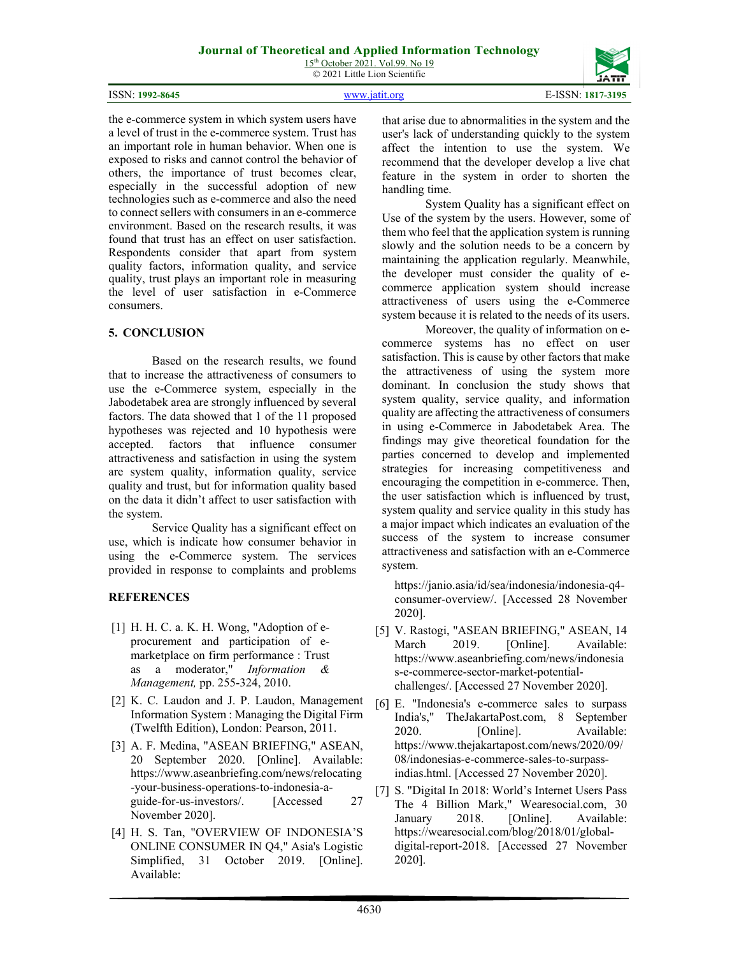15<sup>th</sup> October 2021. Vol.99. No 19 © 2021 Little Lion Scientific

|  | <b>ISSN: 1992-8645</b> |
|--|------------------------|
|--|------------------------|

ISSN: **1992-8645** [www.jatit.org](http://www.jatit.org/) E-ISSN: **1817-3195**

the e-commerce system in which system users have a level of trust in the e-commerce system. Trust has an important role in human behavior. When one is exposed to risks and cannot control the behavior of others, the importance of trust becomes clear, especially in the successful adoption of new technologies such as e-commerce and also the need to connect sellers with consumers in an e-commerce environment. Based on the research results, it was found that trust has an effect on user satisfaction. Respondents consider that apart from system quality factors, information quality, and service quality, trust plays an important role in measuring the level of user satisfaction in e-Commerce consumers.

#### **5. CONCLUSION**

Based on the research results, we found that to increase the attractiveness of consumers to use the e-Commerce system, especially in the Jabodetabek area are strongly influenced by several factors. The data showed that 1 of the 11 proposed hypotheses was rejected and 10 hypothesis were accepted. factors that influence consumer attractiveness and satisfaction in using the system are system quality, information quality, service quality and trust, but for information quality based on the data it didn't affect to user satisfaction with the system.

Service Quality has a significant effect on use, which is indicate how consumer behavior in using the e-Commerce system. The services provided in response to complaints and problems

## **REFERENCES**

- [1] H. H. C. a. K. H. Wong, "Adoption of eprocurement and participation of emarketplace on firm performance : Trust as a moderator," *Information & Management,* pp. 255-324, 2010.
- [2] K. C. Laudon and J. P. Laudon, Management Information System : Managing the Digital Firm (Twelfth Edition), London: Pearson, 2011.
- [3] A. F. Medina, "ASEAN BRIEFING," ASEAN, 20 September 2020. [Online]. Available: https://www.aseanbriefing.com/news/relocating -your-business-operations-to-indonesia-aguide-for-us-investors/. [Accessed 27 November 2020].
- [4] H. S. Tan, "OVERVIEW OF INDONESIA'S ONLINE CONSUMER IN Q4," Asia's Logistic Simplified, 31 October 2019. [Online]. Available:

that arise due to abnormalities in the system and the user's lack of understanding quickly to the system affect the intention to use the system. We recommend that the developer develop a live chat feature in the system in order to shorten the handling time.

System Quality has a significant effect on Use of the system by the users. However, some of them who feel that the application system is running slowly and the solution needs to be a concern by maintaining the application regularly. Meanwhile, the developer must consider the quality of ecommerce application system should increase attractiveness of users using the e-Commerce system because it is related to the needs of its users.

Moreover, the quality of information on ecommerce systems has no effect on user satisfaction. This is cause by other factors that make the attractiveness of using the system more dominant. In conclusion the study shows that system quality, service quality, and information quality are affecting the attractiveness of consumers in using e-Commerce in Jabodetabek Area. The findings may give theoretical foundation for the parties concerned to develop and implemented strategies for increasing competitiveness and encouraging the competition in e-commerce. Then, the user satisfaction which is influenced by trust, system quality and service quality in this study has a major impact which indicates an evaluation of the success of the system to increase consumer attractiveness and satisfaction with an e-Commerce system.

https://janio.asia/id/sea/indonesia/indonesia-q4 consumer-overview/. [Accessed 28 November 2020].

- [5] V. Rastogi, "ASEAN BRIEFING," ASEAN, 14 March 2019. [Online]. Available: https://www.aseanbriefing.com/news/indonesia s-e-commerce-sector-market-potentialchallenges/. [Accessed 27 November 2020].
- [6] E. "Indonesia's e-commerce sales to surpass India's," TheJakartaPost.com, 8 September 2020. [Online]. Available: https://www.thejakartapost.com/news/2020/09/ 08/indonesias-e-commerce-sales-to-surpassindias.html. [Accessed 27 November 2020].
- [7] S. "Digital In 2018: World's Internet Users Pass The 4 Billion Mark," Wearesocial.com, 30 January 2018. [Online]. Available: https://wearesocial.com/blog/2018/01/globaldigital-report-2018. [Accessed 27 November 2020].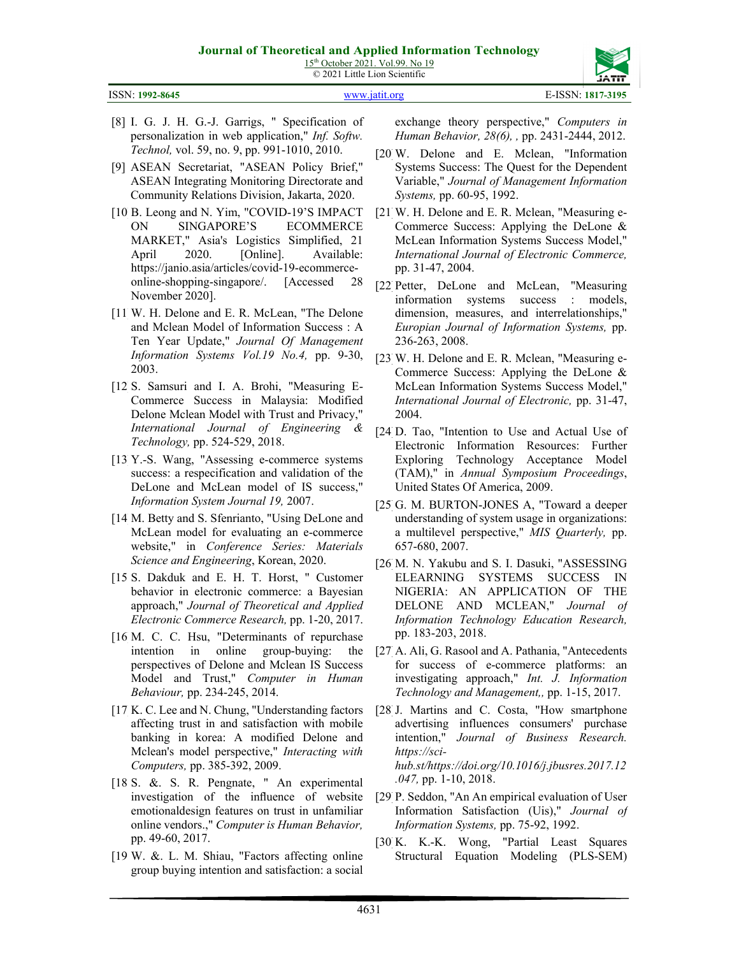15<sup>th</sup> October 2021. Vol.99. No 19 © 2021 Little Lion Scientific

| ISSN: 1992-8645 |  |
|-----------------|--|
|                 |  |

- [8] I. G. J. H. G.-J. Garrigs, " Specification of personalization in web application," *Inf. Softw. Technol,* vol. 59, no. 9, pp. 991-1010, 2010.
- [9] ASEAN Secretariat, "ASEAN Policy Brief," ASEAN Integrating Monitoring Directorate and Community Relations Division, Jakarta, 2020.
- [10 B. Leong and N. Yim, "COVID-19'S IMPACT ON SINGAPORE'S ECOMMERCE MARKET," Asia's Logistics Simplified, 21 April 2020. [Online]. Available: https://janio.asia/articles/covid-19-ecommerceonline-shopping-singapore/. [Accessed 28 November 2020].
- [11] W. H. Delone and E. R. McLean, "The Delone and Mclean Model of Information Success : A Ten Year Update," *Journal Of Management Information Systems Vol.19 No.4,* pp. 9-30, 2003.
- [12 S. Samsuri and I. A. Brohi, "Measuring E-Commerce Success in Malaysia: Modified Delone Mclean Model with Trust and Privacy," *International Journal of Engineering & Technology,* pp. 524-529, 2018.
- [13] Y.-S. Wang, "Assessing e-commerce systems success: a respecification and validation of the DeLone and McLean model of IS success," *Information System Journal 19,* 2007.
- [14 M. Betty and S. Sfenrianto, "Using DeLone and McLean model for evaluating an e-commerce website," in *Conference Series: Materials Science and Engineering*, Korean, 2020.
- [15 S. Dakduk and E. H. T. Horst, " Customer behavior in electronic commerce: a Bayesian approach," *Journal of Theoretical and Applied Electronic Commerce Research,* pp. 1-20, 2017.
- [16 M. C. C. Hsu, "Determinants of repurchase intention in online group-buying: the perspectives of Delone and Mclean IS Success Model and Trust," *Computer in Human Behaviour,* pp. 234-245, 2014.
- [17 K. C. Lee and N. Chung, "Understanding factors"] affecting trust in and satisfaction with mobile banking in korea: A modified Delone and Mclean's model perspective," *Interacting with Computers,* pp. 385-392, 2009.
- [18 S. &. S. R. Pengnate, " An experimental investigation of the influence of website emotionaldesign features on trust in unfamiliar online vendors.," *Computer is Human Behavior,*  pp. 49-60, 2017.
- [19 W. &. L. M. Shiau, "Factors affecting online group buying intention and satisfaction: a social

exchange theory perspective," *Computers in Human Behavior, 28(6), ,* pp. 2431-2444, 2012.

- [20] W. Delone and E. Mclean, "Information Systems Success: The Quest for the Dependent Variable," *Journal of Management Information Systems,* pp. 60-95, 1992.
- [21] W. H. Delone and E. R. Mclean, "Measuring e-Commerce Success: Applying the DeLone & McLean Information Systems Success Model," *International Journal of Electronic Commerce,*  pp. 31-47, 2004.
- [22] Petter, DeLone and McLean, "Measuring information systems success : models, dimension, measures, and interrelationships," *Europian Journal of Information Systems,* pp. 236-263, 2008.
- [23] W. H. Delone and E. R. Mclean, "Measuring e-Commerce Success: Applying the DeLone & McLean Information Systems Success Model," *International Journal of Electronic,* pp. 31-47, 2004.
- [24 D. Tao, "Intention to Use and Actual Use of Electronic Information Resources: Further Exploring Technology Acceptance Model (TAM)," in *Annual Symposium Proceedings*, United States Of America, 2009.
- [25 G. M. BURTON-JONES A, "Toward a deeper understanding of system usage in organizations: a multilevel perspective," *MIS Quarterly,* pp. 657-680, 2007.
- [26] M. N. Yakubu and S. I. Dasuki, "ASSESSING ELEARNING SYSTEMS SUCCESS IN NIGERIA: AN APPLICATION OF THE DELONE AND MCLEAN," *Journal of Information Technology Education Research,*  pp. 183-203, 2018.
- [27] A. Ali, G. Rasool and A. Pathania, "Antecedents for success of e-commerce platforms: an investigating approach," *Int. J. Information Technology and Management,,* pp. 1-15, 2017.
- [28 J. Martins and C. Costa, "How smartphone" advertising influences consumers' purchase intention," *Journal of Business Research. https://scihub.st/https://doi.org/10.1016/j.jbusres.2017.12 .047,* pp. 1-10, 2018.
- [29] P. Seddon, "An An empirical evaluation of User Information Satisfaction (Uis)," *Journal of Information Systems,* pp. 75-92, 1992.
- [30] K. K.-K. Wong, "Partial Least Squares Structural Equation Modeling (PLS-SEM)